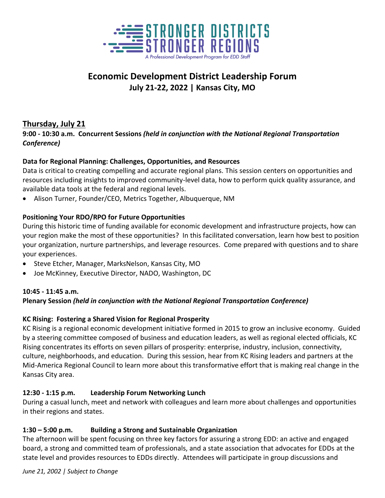

# **Economic Development District Leadership Forum July 21-22, 2022 | Kansas City, MO**

## **Thursday, July 21**

**9:00 - 10:30 a.m. Concurrent Sessions** *(held in conjunction with the National Regional Transportation Conference)*

#### **Data for Regional Planning: Challenges, Opportunities, and Resources**

Data is critical to creating compelling and accurate regional plans. This session centers on opportunities and resources including insights to improved community-level data, how to perform quick quality assurance, and available data tools at the federal and regional levels.

• Alison Turner, Founder/CEO, Metrics Together, Albuquerque, NM

#### **Positioning Your RDO/RPO for Future Opportunities**

During this historic time of funding available for economic development and infrastructure projects, how can your region make the most of these opportunities? In this facilitated conversation, learn how best to position your organization, nurture partnerships, and leverage resources. Come prepared with questions and to share your experiences.

- Steve Etcher, Manager, MarksNelson, Kansas City, MO
- Joe McKinney, Executive Director, NADO, Washington, DC

#### **10:45 - 11:45 a.m.**

#### **Plenary Session** *(held in conjunction with the National Regional Transportation Conference)*

#### **KC Rising: Fostering a Shared Vision for Regional Prosperity**

KC Rising is a regional economic development initiative formed in 2015 to grow an inclusive economy. Guided by a steering committee composed of business and education leaders, as well as regional elected officials, KC Rising concentrates its efforts on seven pillars of prosperity: enterprise, industry, inclusion, connectivity, culture, neighborhoods, and education. During this session, hear from KC Rising leaders and partners at the Mid-America Regional Council to learn more about this transformative effort that is making real change in the Kansas City area.

#### **12:30 - 1:15 p.m. Leadership Forum Networking Lunch**

During a casual lunch, meet and network with colleagues and learn more about challenges and opportunities in their regions and states.

#### **1:30 – 5:00 p.m. Building a Strong and Sustainable Organization**

The afternoon will be spent focusing on three key factors for assuring a strong EDD: an active and engaged board, a strong and committed team of professionals, and a state association that advocates for EDDs at the state level and provides resources to EDDs directly. Attendees will participate in group discussions and